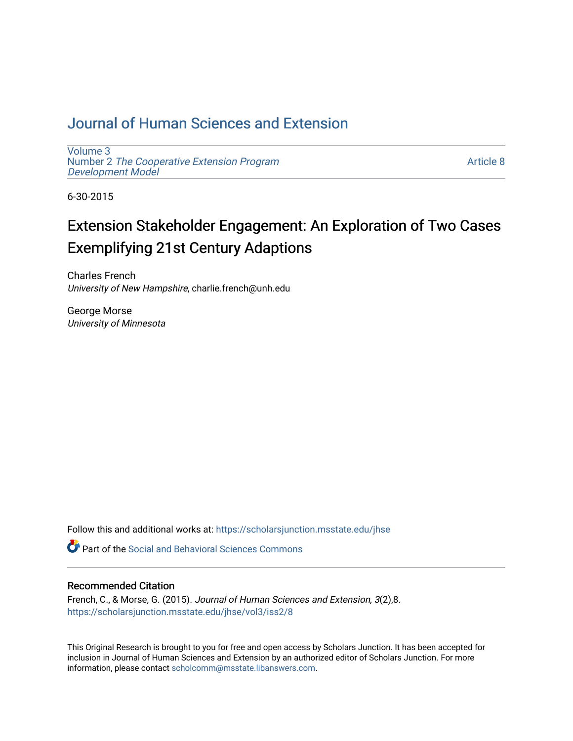# [Journal of Human Sciences and Extension](https://scholarsjunction.msstate.edu/jhse)

[Volume 3](https://scholarsjunction.msstate.edu/jhse/vol3) Number 2 [The Cooperative Extension Program](https://scholarsjunction.msstate.edu/jhse/vol3/iss2) [Development Model](https://scholarsjunction.msstate.edu/jhse/vol3/iss2) 

[Article 8](https://scholarsjunction.msstate.edu/jhse/vol3/iss2/8) 

6-30-2015

# Extension Stakeholder Engagement: An Exploration of Two Cases Exemplifying 21st Century Adaptions

Charles French University of New Hampshire, charlie.french@unh.edu

George Morse University of Minnesota

Follow this and additional works at: [https://scholarsjunction.msstate.edu/jhse](https://scholarsjunction.msstate.edu/jhse?utm_source=scholarsjunction.msstate.edu%2Fjhse%2Fvol3%2Fiss2%2F8&utm_medium=PDF&utm_campaign=PDFCoverPages)

**C** Part of the Social and Behavioral Sciences Commons

#### Recommended Citation

French, C., & Morse, G. (2015). Journal of Human Sciences and Extension, 3(2),8. [https://scholarsjunction.msstate.edu/jhse/vol3/iss2/8](https://scholarsjunction.msstate.edu/jhse/vol3/iss2/8?utm_source=scholarsjunction.msstate.edu%2Fjhse%2Fvol3%2Fiss2%2F8&utm_medium=PDF&utm_campaign=PDFCoverPages)

This Original Research is brought to you for free and open access by Scholars Junction. It has been accepted for inclusion in Journal of Human Sciences and Extension by an authorized editor of Scholars Junction. For more information, please contact [scholcomm@msstate.libanswers.com](mailto:scholcomm@msstate.libanswers.com).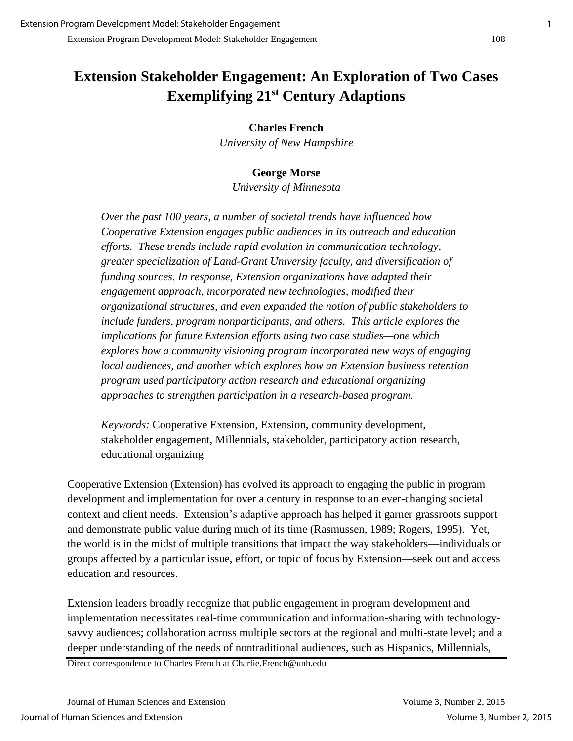# **Extension Stakeholder Engagement: An Exploration of Two Cases Exemplifying 21st Century Adaptions**

#### **Charles French**

*University of New Hampshire* 

#### **George Morse**

*University of Minnesota* 

*Over the past 100 years, a number of societal trends have influenced how Cooperative Extension engages public audiences in its outreach and education efforts. These trends include rapid evolution in communication technology, greater specialization of Land-Grant University faculty, and diversification of funding sources. In response, Extension organizations have adapted their engagement approach, incorporated new technologies, modified their organizational structures, and even expanded the notion of public stakeholders to include funders, program nonparticipants, and others. This article explores the implications for future Extension efforts using two case studies—one which explores how a community visioning program incorporated new ways of engaging local audiences, and another which explores how an Extension business retention program used participatory action research and educational organizing approaches to strengthen participation in a research-based program.* 

*Keywords:* Cooperative Extension, Extension, community development, stakeholder engagement, Millennials, stakeholder, participatory action research, educational organizing

Cooperative Extension (Extension) has evolved its approach to engaging the public in program development and implementation for over a century in response to an ever-changing societal context and client needs. Extension's adaptive approach has helped it garner grassroots support and demonstrate public value during much of its time (Rasmussen, 1989; Rogers, 1995). Yet, the world is in the midst of multiple transitions that impact the way stakeholders—individuals or groups affected by a particular issue, effort, or topic of focus by Extension—seek out and access education and resources.

Extension leaders broadly recognize that public engagement in program development and implementation necessitates real-time communication and information-sharing with technologysavvy audiences; collaboration across multiple sectors at the regional and multi-state level; and a deeper understanding of the needs of nontraditional audiences, such as Hispanics, Millennials,

Direct correspondence to Charles French at Charlie.French@unh.edu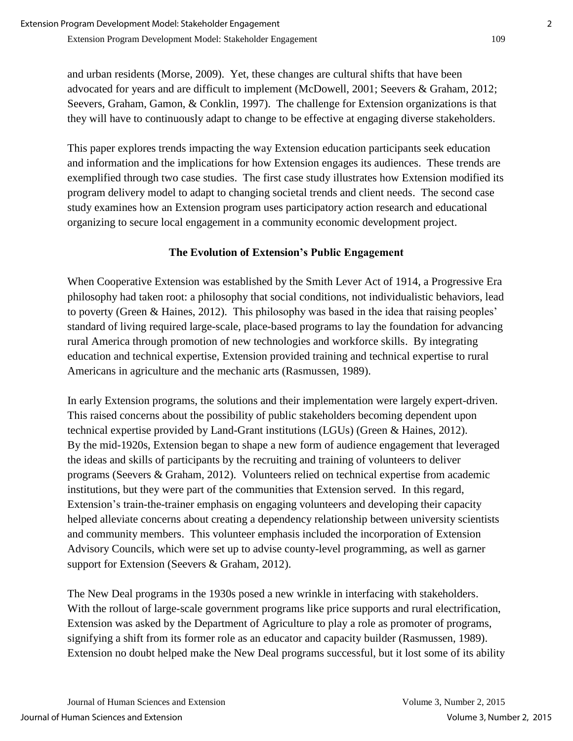and urban residents (Morse, 2009). Yet, these changes are cultural shifts that have been advocated for years and are difficult to implement (McDowell, 2001; Seevers & Graham, 2012; Seevers, Graham, Gamon, & Conklin, 1997). The challenge for Extension organizations is that they will have to continuously adapt to change to be effective at engaging diverse stakeholders.

This paper explores trends impacting the way Extension education participants seek education and information and the implications for how Extension engages its audiences. These trends are exemplified through two case studies. The first case study illustrates how Extension modified its program delivery model to adapt to changing societal trends and client needs. The second case study examines how an Extension program uses participatory action research and educational organizing to secure local engagement in a community economic development project.

#### **The Evolution of Extension's Public Engagement**

When Cooperative Extension was established by the Smith Lever Act of 1914, a Progressive Era philosophy had taken root: a philosophy that social conditions, not individualistic behaviors, lead to poverty (Green & Haines, 2012). This philosophy was based in the idea that raising peoples' standard of living required large-scale, place-based programs to lay the foundation for advancing rural America through promotion of new technologies and workforce skills. By integrating education and technical expertise, Extension provided training and technical expertise to rural Americans in agriculture and the mechanic arts (Rasmussen, 1989).

In early Extension programs, the solutions and their implementation were largely expert-driven. This raised concerns about the possibility of public stakeholders becoming dependent upon technical expertise provided by Land-Grant institutions (LGUs) (Green & Haines, 2012). By the mid-1920s, Extension began to shape a new form of audience engagement that leveraged the ideas and skills of participants by the recruiting and training of volunteers to deliver programs (Seevers & Graham, 2012). Volunteers relied on technical expertise from academic institutions, but they were part of the communities that Extension served. In this regard, Extension's train-the-trainer emphasis on engaging volunteers and developing their capacity helped alleviate concerns about creating a dependency relationship between university scientists and community members. This volunteer emphasis included the incorporation of Extension Advisory Councils, which were set up to advise county-level programming, as well as garner support for Extension (Seevers & Graham, 2012).

The New Deal programs in the 1930s posed a new wrinkle in interfacing with stakeholders. With the rollout of large-scale government programs like price supports and rural electrification, Extension was asked by the Department of Agriculture to play a role as promoter of programs, signifying a shift from its former role as an educator and capacity builder (Rasmussen, 1989). Extension no doubt helped make the New Deal programs successful, but it lost some of its ability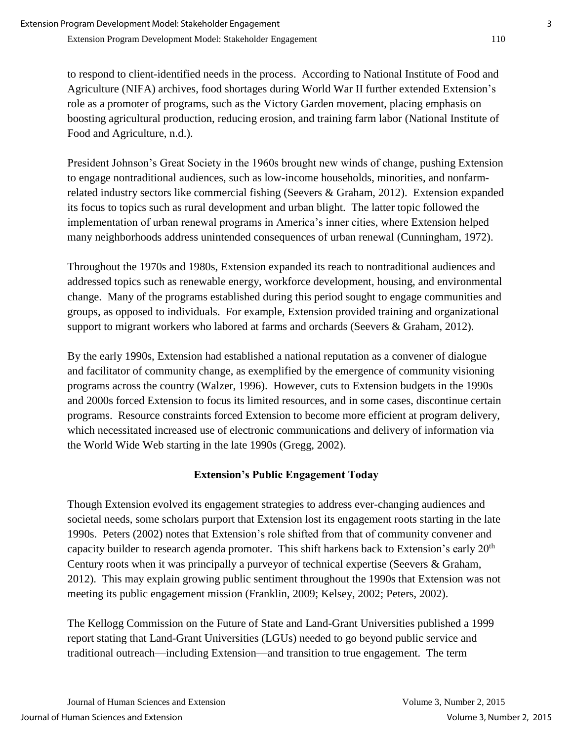to respond to client-identified needs in the process. According to National Institute of Food and Agriculture (NIFA) archives, food shortages during World War II further extended Extension's role as a promoter of programs, such as the Victory Garden movement, placing emphasis on boosting agricultural production, reducing erosion, and training farm labor (National Institute of Food and Agriculture, n.d.).

President Johnson's Great Society in the 1960s brought new winds of change, pushing Extension to engage nontraditional audiences, such as low-income households, minorities, and nonfarmrelated industry sectors like commercial fishing (Seevers & Graham, 2012). Extension expanded its focus to topics such as rural development and urban blight. The latter topic followed the implementation of urban renewal programs in America's inner cities, where Extension helped many neighborhoods address unintended consequences of urban renewal (Cunningham, 1972).

Throughout the 1970s and 1980s, Extension expanded its reach to nontraditional audiences and addressed topics such as renewable energy, workforce development, housing, and environmental change. Many of the programs established during this period sought to engage communities and groups, as opposed to individuals. For example, Extension provided training and organizational support to migrant workers who labored at farms and orchards (Seevers & Graham, 2012).

By the early 1990s, Extension had established a national reputation as a convener of dialogue and facilitator of community change, as exemplified by the emergence of community visioning programs across the country (Walzer, 1996). However, cuts to Extension budgets in the 1990s and 2000s forced Extension to focus its limited resources, and in some cases, discontinue certain programs. Resource constraints forced Extension to become more efficient at program delivery, which necessitated increased use of electronic communications and delivery of information via the World Wide Web starting in the late 1990s (Gregg, 2002).

## **Extension's Public Engagement Today**

Though Extension evolved its engagement strategies to address ever-changing audiences and societal needs, some scholars purport that Extension lost its engagement roots starting in the late 1990s. Peters (2002) notes that Extension's role shifted from that of community convener and capacity builder to research agenda promoter. This shift harkens back to Extension's early  $20<sup>th</sup>$ Century roots when it was principally a purveyor of technical expertise (Seevers & Graham, 2012). This may explain growing public sentiment throughout the 1990s that Extension was not meeting its public engagement mission (Franklin, 2009; Kelsey, 2002; Peters, 2002).

The Kellogg Commission on the Future of State and Land-Grant Universities published a 1999 report stating that Land-Grant Universities (LGUs) needed to go beyond public service and traditional outreach—including Extension—and transition to true engagement. The term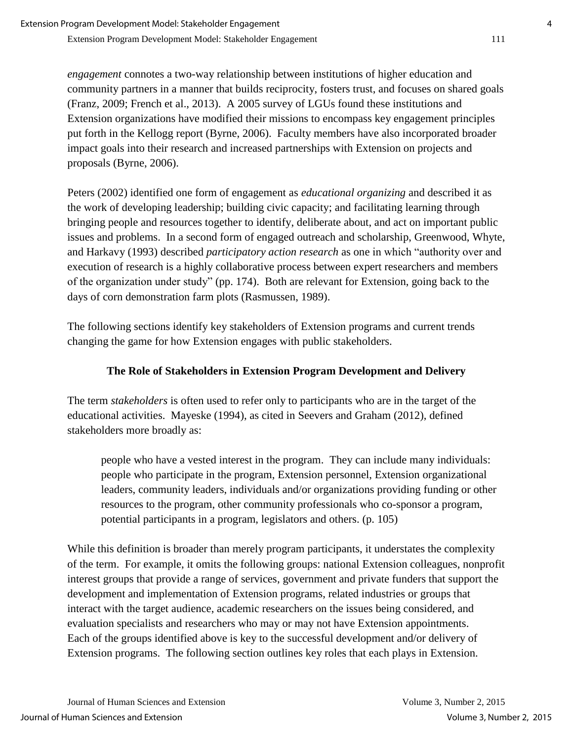*engagement* connotes a two-way relationship between institutions of higher education and community partners in a manner that builds reciprocity, fosters trust, and focuses on shared goals (Franz, 2009; French et al., 2013). A 2005 survey of LGUs found these institutions and Extension organizations have modified their missions to encompass key engagement principles put forth in the Kellogg report (Byrne, 2006). Faculty members have also incorporated broader impact goals into their research and increased partnerships with Extension on projects and proposals (Byrne, 2006).

Peters (2002) identified one form of engagement as *educational organizing* and described it as the work of developing leadership; building civic capacity; and facilitating learning through bringing people and resources together to identify, deliberate about, and act on important public issues and problems. In a second form of engaged outreach and scholarship, Greenwood, Whyte, and Harkavy (1993) described *participatory action research* as one in which "authority over and execution of research is a highly collaborative process between expert researchers and members of the organization under study" (pp. 174). Both are relevant for Extension, going back to the days of corn demonstration farm plots (Rasmussen, 1989).

The following sections identify key stakeholders of Extension programs and current trends changing the game for how Extension engages with public stakeholders.

## **The Role of Stakeholders in Extension Program Development and Delivery**

The term *stakeholders* is often used to refer only to participants who are in the target of the educational activities. Mayeske (1994), as cited in Seevers and Graham (2012), defined stakeholders more broadly as:

people who have a vested interest in the program. They can include many individuals: people who participate in the program, Extension personnel, Extension organizational leaders, community leaders, individuals and/or organizations providing funding or other resources to the program, other community professionals who co-sponsor a program, potential participants in a program, legislators and others. (p. 105)

While this definition is broader than merely program participants, it understates the complexity of the term. For example, it omits the following groups: national Extension colleagues, nonprofit interest groups that provide a range of services, government and private funders that support the development and implementation of Extension programs, related industries or groups that interact with the target audience, academic researchers on the issues being considered, and evaluation specialists and researchers who may or may not have Extension appointments. Each of the groups identified above is key to the successful development and/or delivery of Extension programs. The following section outlines key roles that each plays in Extension.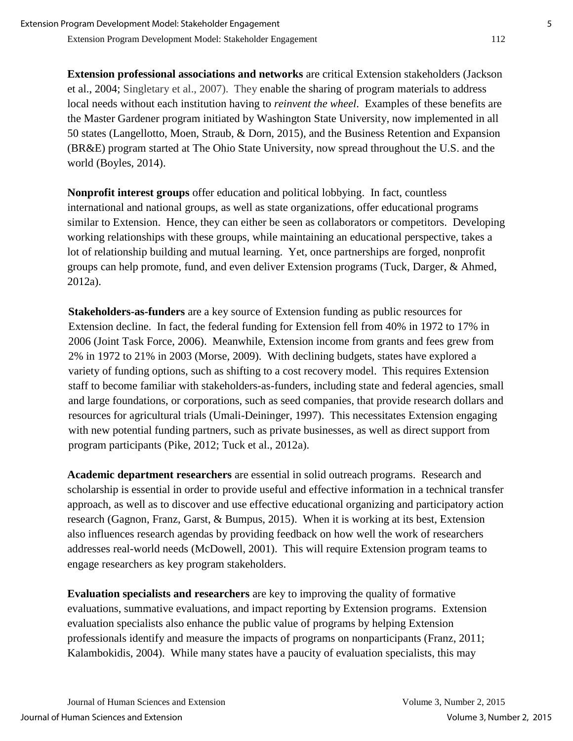**Extension professional associations and networks** are critical Extension stakeholders (Jackson et al., 2004; Singletary et al., 2007). They enable the sharing of program materials to address local needs without each institution having to *reinvent the wheel*. Examples of these benefits are the Master Gardener program initiated by Washington State University, now implemented in all 50 states (Langellotto, Moen, Straub, & Dorn, 2015), and the Business Retention and Expansion (BR&E) program started at The Ohio State University, now spread throughout the U.S. and the world (Boyles, 2014).

**Nonprofit interest groups** offer education and political lobbying. In fact, countless international and national groups, as well as state organizations, offer educational programs similar to Extension. Hence, they can either be seen as collaborators or competitors. Developing working relationships with these groups, while maintaining an educational perspective, takes a lot of relationship building and mutual learning. Yet, once partnerships are forged, nonprofit groups can help promote, fund, and even deliver Extension programs (Tuck, Darger, & Ahmed, 2012a).

**Stakeholders-as-funders** are a key source of Extension funding as public resources for Extension decline. In fact, the federal funding for Extension fell from 40% in 1972 to 17% in 2006 (Joint Task Force, 2006). Meanwhile, Extension income from grants and fees grew from 2% in 1972 to 21% in 2003 (Morse, 2009). With declining budgets, states have explored a variety of funding options, such as shifting to a cost recovery model. This requires Extension staff to become familiar with stakeholders-as-funders, including state and federal agencies, small and large foundations, or corporations, such as seed companies, that provide research dollars and resources for agricultural trials (Umali-Deininger, 1997). This necessitates Extension engaging with new potential funding partners, such as private businesses, as well as direct support from program participants (Pike, 2012; Tuck et al., 2012a).

**Academic department researchers** are essential in solid outreach programs. Research and scholarship is essential in order to provide useful and effective information in a technical transfer approach, as well as to discover and use effective educational organizing and participatory action research (Gagnon, Franz, Garst, & Bumpus, 2015). When it is working at its best, Extension also influences research agendas by providing feedback on how well the work of researchers addresses real-world needs (McDowell, 2001). This will require Extension program teams to engage researchers as key program stakeholders.

**Evaluation specialists and researchers** are key to improving the quality of formative evaluations, summative evaluations, and impact reporting by Extension programs. Extension evaluation specialists also enhance the public value of programs by helping Extension professionals identify and measure the impacts of programs on nonparticipants (Franz, 2011; Kalambokidis, 2004). While many states have a paucity of evaluation specialists, this may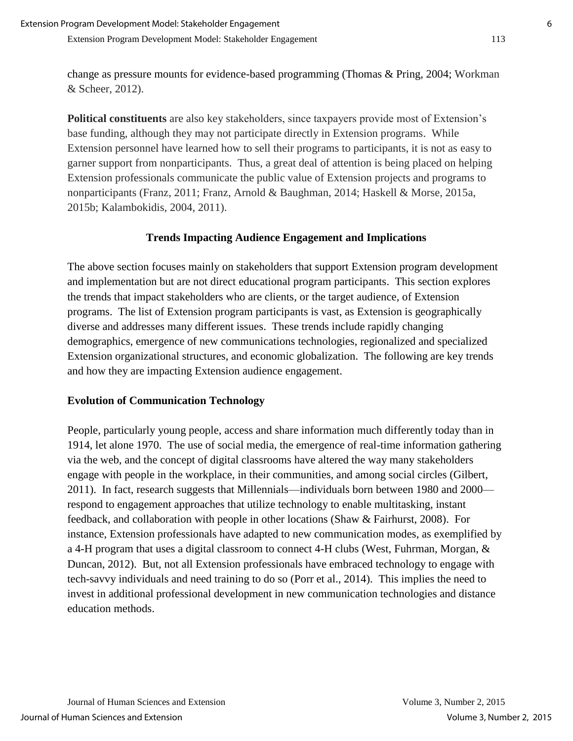change as pressure mounts for evidence-based programming (Thomas & Pring, 2004; Workman & Scheer, 2012).

**Political constituents** are also key stakeholders, since taxpayers provide most of Extension's base funding, although they may not participate directly in Extension programs. While Extension personnel have learned how to sell their programs to participants, it is not as easy to garner support from nonparticipants. Thus, a great deal of attention is being placed on helping Extension professionals communicate the public value of Extension projects and programs to nonparticipants (Franz, 2011; Franz, Arnold & Baughman, 2014; Haskell & Morse, 2015a, 2015b; Kalambokidis, 2004, 2011).

#### **Trends Impacting Audience Engagement and Implications**

The above section focuses mainly on stakeholders that support Extension program development and implementation but are not direct educational program participants. This section explores the trends that impact stakeholders who are clients, or the target audience, of Extension programs. The list of Extension program participants is vast, as Extension is geographically diverse and addresses many different issues. These trends include rapidly changing demographics, emergence of new communications technologies, regionalized and specialized Extension organizational structures, and economic globalization. The following are key trends and how they are impacting Extension audience engagement.

#### **Evolution of Communication Technology**

People, particularly young people, access and share information much differently today than in 1914, let alone 1970. The use of social media, the emergence of real-time information gathering via the web, and the concept of digital classrooms have altered the way many stakeholders engage with people in the workplace, in their communities, and among social circles (Gilbert, 2011). In fact, research suggests that Millennials—individuals born between 1980 and 2000 respond to engagement approaches that utilize technology to enable multitasking, instant feedback, and collaboration with people in other locations (Shaw & Fairhurst, 2008). For instance, Extension professionals have adapted to new communication modes, as exemplified by a 4-H program that uses a digital classroom to connect 4-H clubs (West, Fuhrman, Morgan, & Duncan, 2012). But, not all Extension professionals have embraced technology to engage with tech-savvy individuals and need training to do so (Porr et al., 2014). This implies the need to invest in additional professional development in new communication technologies and distance education methods.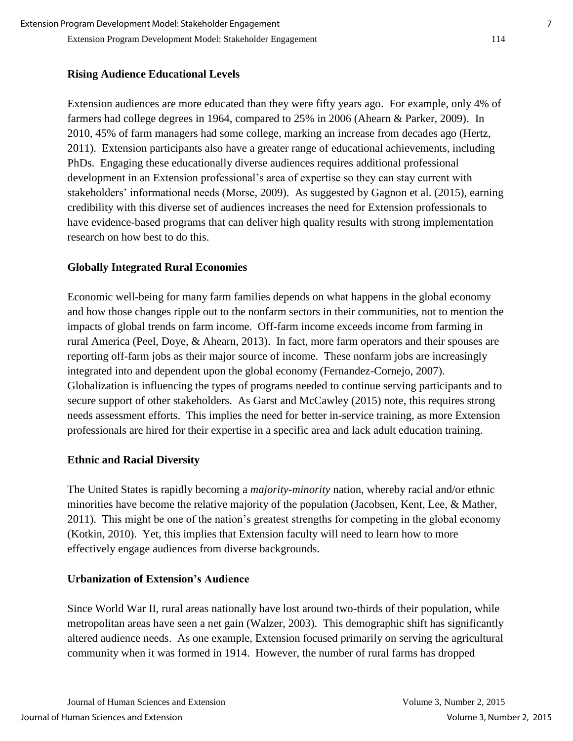Extension Program Development Model: Stakeholder Engagement 114

#### **Rising Audience Educational Levels**

Extension audiences are more educated than they were fifty years ago. For example, only 4% of farmers had college degrees in 1964, compared to 25% in 2006 (Ahearn & Parker, 2009). In 2010, 45% of farm managers had some college, marking an increase from decades ago (Hertz, 2011). Extension participants also have a greater range of educational achievements, including PhDs. Engaging these educationally diverse audiences requires additional professional development in an Extension professional's area of expertise so they can stay current with stakeholders' informational needs (Morse, 2009). As suggested by Gagnon et al. (2015), earning credibility with this diverse set of audiences increases the need for Extension professionals to have evidence-based programs that can deliver high quality results with strong implementation research on how best to do this.

#### **Globally Integrated Rural Economies**

Economic well-being for many farm families depends on what happens in the global economy and how those changes ripple out to the nonfarm sectors in their communities, not to mention the impacts of global trends on farm income. Off-farm income exceeds income from farming in rural America (Peel, Doye, & Ahearn, 2013). In fact, more farm operators and their spouses are reporting off-farm jobs as their major source of income. These nonfarm jobs are increasingly integrated into and dependent upon the global economy (Fernandez-Cornejo, 2007). Globalization is influencing the types of programs needed to continue serving participants and to secure support of other stakeholders. As Garst and McCawley (2015) note, this requires strong needs assessment efforts. This implies the need for better in-service training, as more Extension professionals are hired for their expertise in a specific area and lack adult education training.

#### **Ethnic and Racial Diversity**

The United States is rapidly becoming a *majority-minority* nation, whereby racial and/or [ethnic](http://en.wikipedia.org/wiki/Ethnic_minorities)  [minorities](http://en.wikipedia.org/wiki/Ethnic_minorities) have become the relative [majority](http://en.wikipedia.org/wiki/Majority) of the population (Jacobsen, Kent, Lee, & Mather, 2011). This might be one of the nation's greatest strengths for competing in the global economy (Kotkin, 2010). Yet, this implies that Extension faculty will need to learn how to more effectively engage audiences from diverse backgrounds.

#### **Urbanization of Extension's Audience**

Since World War II, rural areas nationally have lost around two-thirds of their population, while metropolitan areas have seen a net gain (Walzer, 2003). This demographic shift has significantly altered audience needs. As one example, Extension focused primarily on serving the agricultural community when it was formed in 1914. However, the number of rural farms has dropped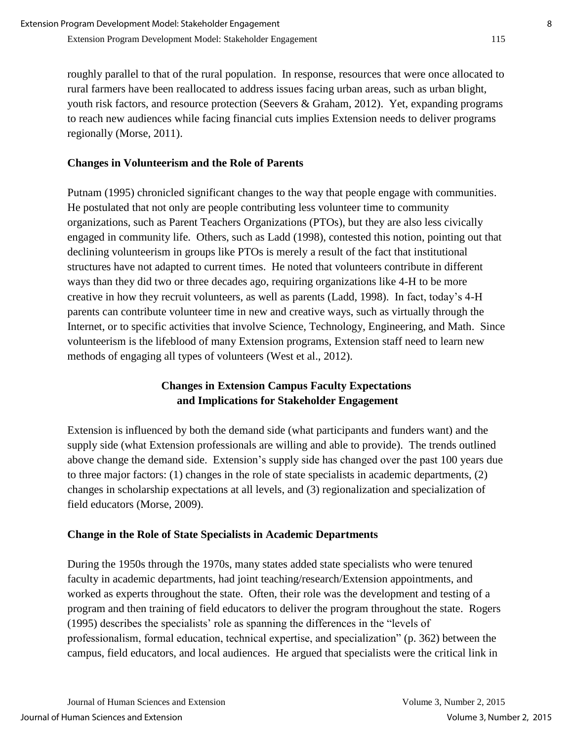roughly parallel to that of the rural population. In response, resources that were once allocated to rural farmers have been reallocated to address issues facing urban areas, such as urban blight, youth risk factors, and resource protection (Seevers & Graham, 2012). Yet, expanding programs to reach new audiences while facing financial cuts implies Extension needs to deliver programs regionally (Morse, 2011).

#### **Changes in Volunteerism and the Role of Parents**

Putnam (1995) chronicled significant changes to the way that people engage with communities. He postulated that not only are people contributing less volunteer time to community organizations, such as Parent Teachers Organizations (PTOs), but they are also less civically engaged in community life. Others, such as Ladd (1998), contested this notion, pointing out that declining volunteerism in groups like PTOs is merely a result of the fact that institutional structures have not adapted to current times. He noted that volunteers contribute in different ways than they did two or three decades ago, requiring organizations like 4-H to be more creative in how they recruit volunteers, as well as parents (Ladd, 1998). In fact, today's 4-H parents can contribute volunteer time in new and creative ways, such as virtually through the Internet, or to specific activities that involve Science, Technology, Engineering, and Math. Since volunteerism is the lifeblood of many Extension programs, Extension staff need to learn new methods of engaging all types of volunteers (West et al., 2012).

## **Changes in Extension Campus Faculty Expectations and Implications for Stakeholder Engagement**

Extension is influenced by both the demand side (what participants and funders want) and the supply side (what Extension professionals are willing and able to provide). The trends outlined above change the demand side. Extension's supply side has changed over the past 100 years due to three major factors: (1) changes in the role of state specialists in academic departments, (2) changes in scholarship expectations at all levels, and (3) regionalization and specialization of field educators (Morse, 2009).

## **Change in the Role of State Specialists in Academic Departments**

During the 1950s through the 1970s, many states added state specialists who were tenured faculty in academic departments, had joint teaching/research/Extension appointments, and worked as experts throughout the state. Often, their role was the development and testing of a program and then training of field educators to deliver the program throughout the state. Rogers (1995) describes the specialists' role as spanning the differences in the "levels of professionalism, formal education, technical expertise, and specialization" (p. 362) between the campus, field educators, and local audiences. He argued that specialists were the critical link in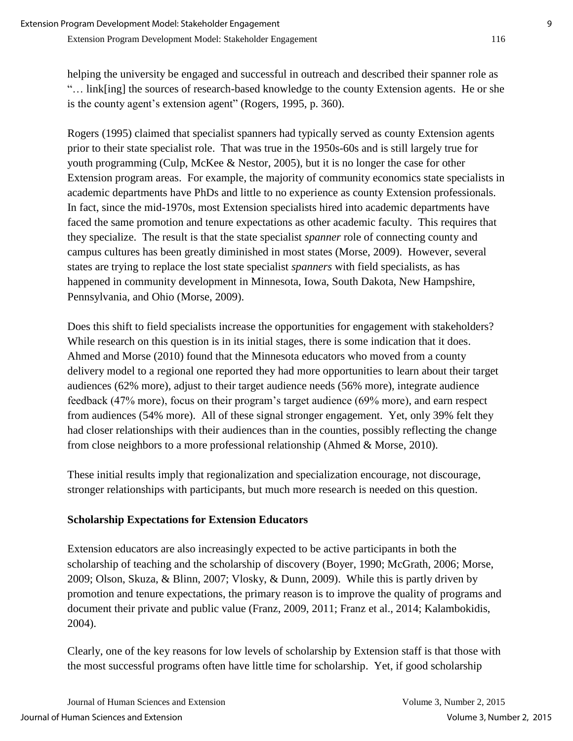helping the university be engaged and successful in outreach and described their spanner role as "… link[ing] the sources of research-based knowledge to the county Extension agents. He or she is the county agent's extension agent" (Rogers, 1995, p. 360).

Rogers (1995) claimed that specialist spanners had typically served as county Extension agents prior to their state specialist role. That was true in the 1950s-60s and is still largely true for youth programming (Culp, McKee & Nestor, 2005), but it is no longer the case for other Extension program areas. For example, the majority of community economics state specialists in academic departments have PhDs and little to no experience as county Extension professionals. In fact, since the mid-1970s, most Extension specialists hired into academic departments have faced the same promotion and tenure expectations as other academic faculty. This requires that they specialize. The result is that the state specialist *spanner* role of connecting county and campus cultures has been greatly diminished in most states (Morse, 2009). However, several states are trying to replace the lost state specialist *spanners* with field specialists, as has happened in community development in Minnesota, Iowa, South Dakota, New Hampshire, Pennsylvania, and Ohio (Morse, 2009).

Does this shift to field specialists increase the opportunities for engagement with stakeholders? While research on this question is in its initial stages, there is some indication that it does. Ahmed and Morse (2010) found that the Minnesota educators who moved from a county delivery model to a regional one reported they had more opportunities to learn about their target audiences (62% more), adjust to their target audience needs (56% more), integrate audience feedback (47% more), focus on their program's target audience (69% more), and earn respect from audiences (54% more). All of these signal stronger engagement. Yet, only 39% felt they had closer relationships with their audiences than in the counties, possibly reflecting the change from close neighbors to a more professional relationship (Ahmed & Morse, 2010).

These initial results imply that regionalization and specialization encourage, not discourage, stronger relationships with participants, but much more research is needed on this question.

## **Scholarship Expectations for Extension Educators**

Extension educators are also increasingly expected to be active participants in both the scholarship of teaching and the scholarship of discovery (Boyer, 1990; McGrath, 2006; Morse, 2009; Olson, Skuza, & Blinn, 2007; Vlosky, & Dunn, 2009). While this is partly driven by promotion and tenure expectations, the primary reason is to improve the quality of programs and document their private and public value (Franz, 2009, 2011; Franz et al., 2014; Kalambokidis, 2004).

Clearly, one of the key reasons for low levels of scholarship by Extension staff is that those with the most successful programs often have little time for scholarship. Yet, if good scholarship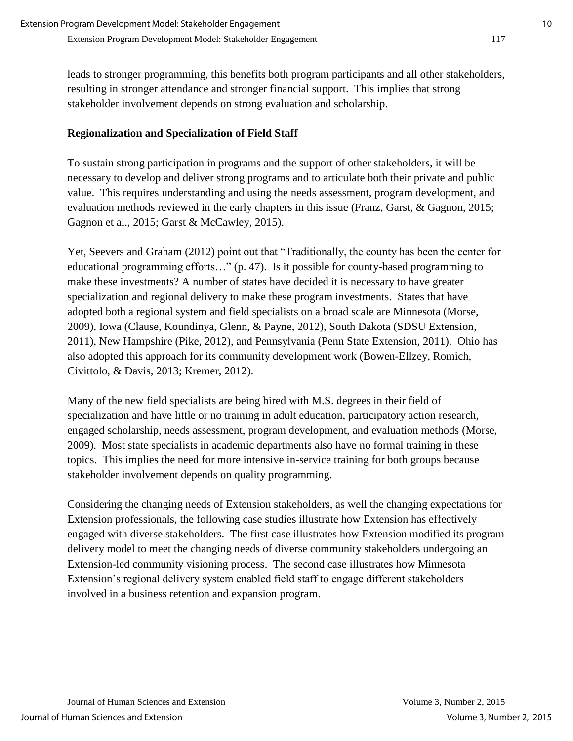leads to stronger programming, this benefits both program participants and all other stakeholders, resulting in stronger attendance and stronger financial support. This implies that strong stakeholder involvement depends on strong evaluation and scholarship.

#### **Regionalization and Specialization of Field Staff**

To sustain strong participation in programs and the support of other stakeholders, it will be necessary to develop and deliver strong programs and to articulate both their private and public value. This requires understanding and using the needs assessment, program development, and evaluation methods reviewed in the early chapters in this issue (Franz, Garst, & Gagnon, 2015; Gagnon et al., 2015; Garst & McCawley, 2015).

Yet, Seevers and Graham (2012) point out that "Traditionally, the county has been the center for educational programming efforts…" (p. 47). Is it possible for county-based programming to make these investments? A number of states have decided it is necessary to have greater specialization and regional delivery to make these program investments. States that have adopted both a regional system and field specialists on a broad scale are Minnesota (Morse, 2009), Iowa (Clause, Koundinya, Glenn, & Payne, 2012), South Dakota (SDSU Extension, 2011), New Hampshire (Pike, 2012), and Pennsylvania (Penn State Extension, 2011). Ohio has also adopted this approach for its community development work (Bowen-Ellzey, Romich, Civittolo, & Davis, 2013; Kremer, 2012).

Many of the new field specialists are being hired with M.S. degrees in their field of specialization and have little or no training in adult education, participatory action research, engaged scholarship, needs assessment, program development, and evaluation methods (Morse, 2009). Most state specialists in academic departments also have no formal training in these topics. This implies the need for more intensive in-service training for both groups because stakeholder involvement depends on quality programming.

Considering the changing needs of Extension stakeholders, as well the changing expectations for Extension professionals, the following case studies illustrate how Extension has effectively engaged with diverse stakeholders. The first case illustrates how Extension modified its program delivery model to meet the changing needs of diverse community stakeholders undergoing an Extension-led community visioning process. The second case illustrates how Minnesota Extension's regional delivery system enabled field staff to engage different stakeholders involved in a business retention and expansion program.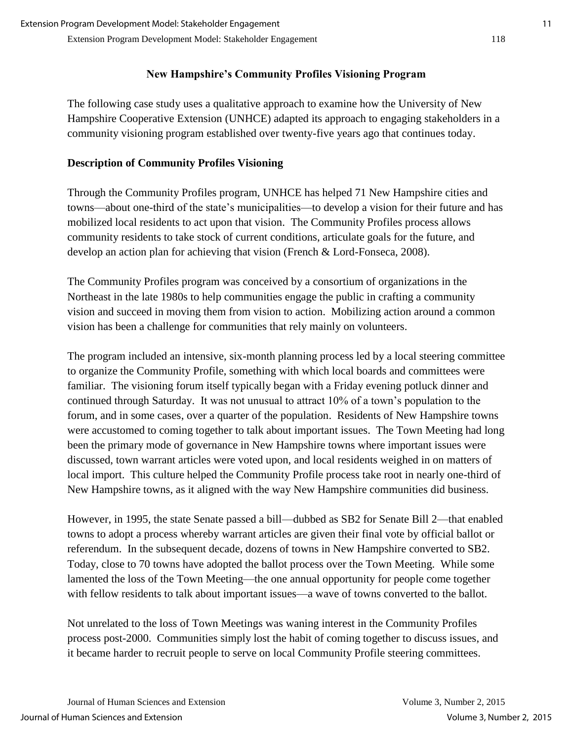## **New Hampshire's Community Profiles Visioning Program**

The following case study uses a qualitative approach to examine how the University of New Hampshire Cooperative Extension (UNHCE) adapted its approach to engaging stakeholders in a community visioning program established over twenty-five years ago that continues today.

# **Description of Community Profiles Visioning**

Through the Community Profiles program, UNHCE has helped 71 New Hampshire cities and towns—about one-third of the state's municipalities—to develop a vision for their future and has mobilized local residents to act upon that vision. The Community Profiles process allows community residents to take stock of current conditions, articulate goals for the future, and develop an action plan for achieving that vision (French & Lord-Fonseca, 2008).

The Community Profiles program was conceived by a consortium of organizations in the Northeast in the late 1980s to help communities engage the public in crafting a community vision and succeed in moving them from vision to action. Mobilizing action around a common vision has been a challenge for communities that rely mainly on volunteers.

The program included an intensive, six-month planning process led by a local steering committee to organize the Community Profile, something with which local boards and committees were familiar. The visioning forum itself typically began with a Friday evening potluck dinner and continued through Saturday. It was not unusual to attract 10% of a town's population to the forum, and in some cases, over a quarter of the population. Residents of New Hampshire towns were accustomed to coming together to talk about important issues. The Town Meeting had long been the primary mode of governance in New Hampshire towns where important issues were discussed, town warrant articles were voted upon, and local residents weighed in on matters of local import. This culture helped the Community Profile process take root in nearly one-third of New Hampshire towns, as it aligned with the way New Hampshire communities did business.

However, in 1995, the state Senate passed a bill—dubbed as SB2 for Senate Bill 2—that enabled towns to adopt a process whereby warrant articles are given their final vote by official ballot or referendum. In the subsequent decade, dozens of towns in New Hampshire converted to SB2. Today, close to 70 towns have adopted the ballot process over the Town Meeting. While some lamented the loss of the Town Meeting—the one annual opportunity for people come together with fellow residents to talk about important issues—a wave of towns converted to the ballot.

Not unrelated to the loss of Town Meetings was waning interest in the Community Profiles process post-2000. Communities simply lost the habit of coming together to discuss issues, and it became harder to recruit people to serve on local Community Profile steering committees.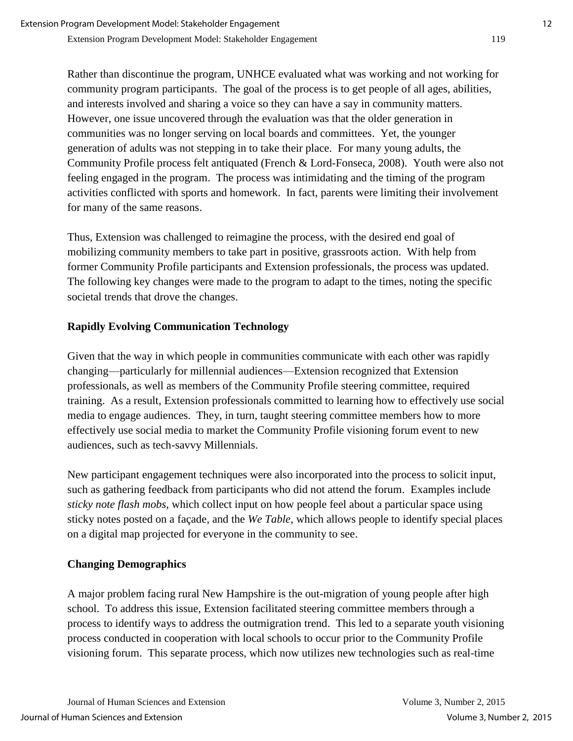Rather than discontinue the program, UNHCE evaluated what was working and not working for community program participants. The goal of the process is to get people of all ages, abilities, and interests involved and sharing a voice so they can have a say in community matters. However, one issue uncovered through the evaluation was that the older generation in communities was no longer serving on local boards and committees. Yet, the younger generation of adults was not stepping in to take their place. For many young adults, the Community Profile process felt antiquated (French & Lord-Fonseca, 2008). Youth were also not feeling engaged in the program. The process was intimidating and the timing of the program activities conflicted with sports and homework. In fact, parents were limiting their involvement for many of the same reasons.

Thus, Extension was challenged to reimagine the process, with the desired end goal of mobilizing community members to take part in positive, grassroots action. With help from former Community Profile participants and Extension professionals, the process was updated. The following key changes were made to the program to adapt to the times, noting the specific societal trends that drove the changes.

## **Rapidly Evolving Communication Technology**

Given that the way in which people in communities communicate with each other was rapidly changing—particularly for millennial audiences—Extension recognized that Extension professionals, as well as members of the Community Profile steering committee, required training. As a result, Extension professionals committed to learning how to effectively use social media to engage audiences. They, in turn, taught steering committee members how to more effectively use social media to market the Community Profile visioning forum event to new audiences, such as tech-savvy Millennials.

New participant engagement techniques were also incorporated into the process to solicit input, such as gathering feedback from participants who did not attend the forum. Examples include *sticky note flash mobs*, which collect input on how people feel about a particular space using sticky notes posted on a façade, and the *We Table*, which allows people to identify special places on a digital map projected for everyone in the community to see.

## **Changing Demographics**

A major problem facing rural New Hampshire is the out-migration of young people after high school. To address this issue, Extension facilitated steering committee members through a process to identify ways to address the outmigration trend. This led to a separate youth visioning process conducted in cooperation with local schools to occur prior to the Community Profile visioning forum. This separate process, which now utilizes new technologies such as real-time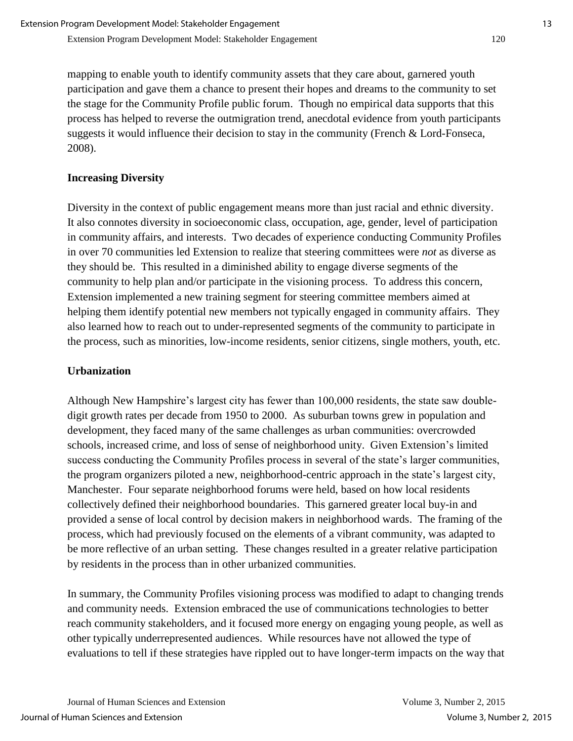mapping to enable youth to identify community assets that they care about, garnered youth participation and gave them a chance to present their hopes and dreams to the community to set the stage for the Community Profile public forum. Though no empirical data supports that this process has helped to reverse the outmigration trend, anecdotal evidence from youth participants suggests it would influence their decision to stay in the community (French & Lord-Fonseca, 2008).

# **Increasing Diversity**

Diversity in the context of public engagement means more than just racial and ethnic diversity. It also connotes diversity in socioeconomic class, occupation, age, gender, level of participation in community affairs, and interests. Two decades of experience conducting Community Profiles in over 70 communities led Extension to realize that steering committees were *not* as diverse as they should be. This resulted in a diminished ability to engage diverse segments of the community to help plan and/or participate in the visioning process. To address this concern, Extension implemented a new training segment for steering committee members aimed at helping them identify potential new members not typically engaged in community affairs. They also learned how to reach out to under-represented segments of the community to participate in the process, such as minorities, low-income residents, senior citizens, single mothers, youth, etc.

## **Urbanization**

Although New Hampshire's largest city has fewer than 100,000 residents, the state saw doubledigit growth rates per decade from 1950 to 2000. As suburban towns grew in population and development, they faced many of the same challenges as urban communities: overcrowded schools, increased crime, and loss of sense of neighborhood unity. Given Extension's limited success conducting the Community Profiles process in several of the state's larger communities, the program organizers piloted a new, neighborhood-centric approach in the state's largest city, Manchester. Four separate neighborhood forums were held, based on how local residents collectively defined their neighborhood boundaries. This garnered greater local buy-in and provided a sense of local control by decision makers in neighborhood wards. The framing of the process, which had previously focused on the elements of a vibrant community, was adapted to be more reflective of an urban setting. These changes resulted in a greater relative participation by residents in the process than in other urbanized communities.

In summary, the Community Profiles visioning process was modified to adapt to changing trends and community needs. Extension embraced the use of communications technologies to better reach community stakeholders, and it focused more energy on engaging young people, as well as other typically underrepresented audiences. While resources have not allowed the type of evaluations to tell if these strategies have rippled out to have longer-term impacts on the way that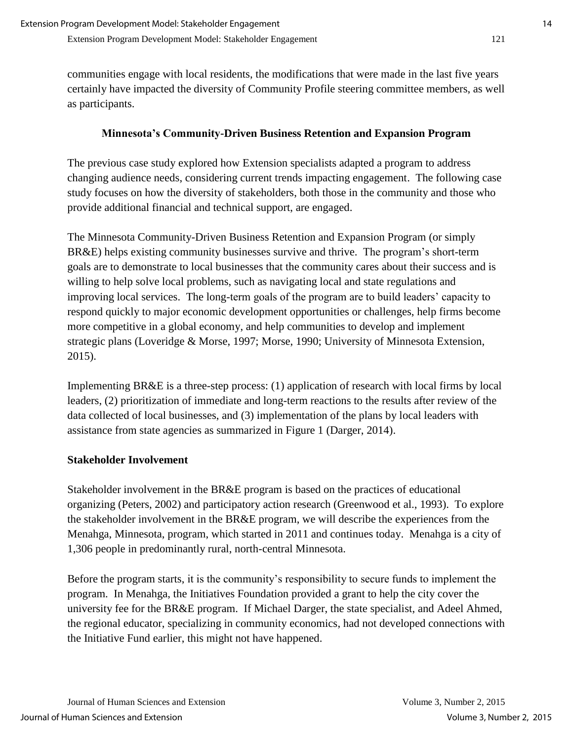communities engage with local residents, the modifications that were made in the last five years certainly have impacted the diversity of Community Profile steering committee members, as well as participants.

## **Minnesota's Community-Driven Business Retention and Expansion Program**

The previous case study explored how Extension specialists adapted a program to address changing audience needs, considering current trends impacting engagement. The following case study focuses on how the diversity of stakeholders, both those in the community and those who provide additional financial and technical support, are engaged.

The Minnesota Community-Driven Business Retention and Expansion Program (or simply BR&E) helps existing community businesses survive and thrive. The program's short-term goals are to demonstrate to local businesses that the community cares about their success and is willing to help solve local problems, such as navigating local and state regulations and improving local services. The long-term goals of the program are to build leaders' capacity to respond quickly to major economic development opportunities or challenges, help firms become more competitive in a global economy, and help communities to develop and implement strategic plans (Loveridge & Morse, 1997; Morse, 1990; University of Minnesota Extension, 2015).

Implementing BR&E is a three-step process: (1) application of research with local firms by local leaders, (2) prioritization of immediate and long-term reactions to the results after review of the data collected of local businesses, and (3) implementation of the plans by local leaders with assistance from state agencies as summarized in Figure 1 (Darger, 2014).

## **Stakeholder Involvement**

Stakeholder involvement in the BR&E program is based on the practices of educational organizing (Peters, 2002) and participatory action research (Greenwood et al., 1993). To explore the stakeholder involvement in the BR&E program, we will describe the experiences from the Menahga, Minnesota, program, which started in 2011 and continues today. Menahga is a city of 1,306 people in predominantly rural, north-central Minnesota.

Before the program starts, it is the community's responsibility to secure funds to implement the program. In Menahga, the Initiatives Foundation provided a grant to help the city cover the university fee for the BR&E program. If Michael Darger, the state specialist, and Adeel Ahmed, the regional educator, specializing in community economics, had not developed connections with the Initiative Fund earlier, this might not have happened.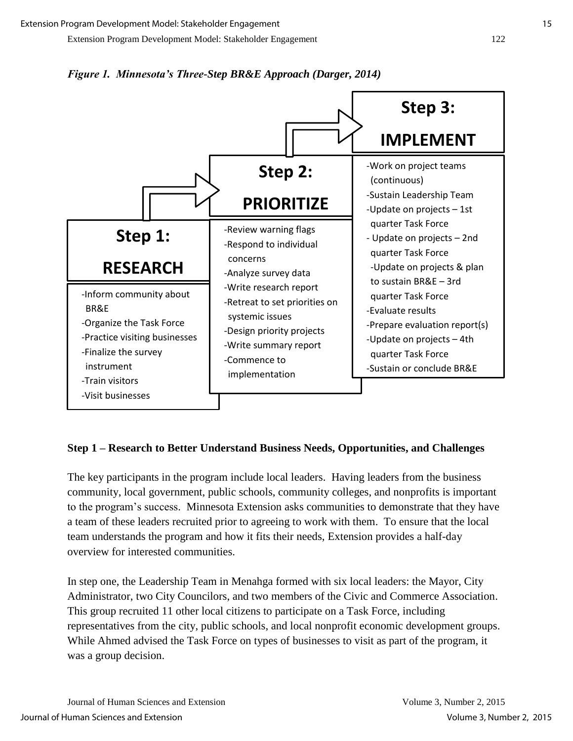



#### **Step 1 – Research to Better Understand Business Needs, Opportunities, and Challenges**

The key participants in the program include local leaders. Having leaders from the business community, local government, public schools, community colleges, and nonprofits is important to the program's success. Minnesota Extension asks communities to demonstrate that they have a team of these leaders recruited prior to agreeing to work with them. To ensure that the local team understands the program and how it fits their needs, Extension provides a half-day overview for interested communities.

In step one, the Leadership Team in Menahga formed with six local leaders: the Mayor, City Administrator, two City Councilors, and two members of the Civic and Commerce Association. This group recruited 11 other local citizens to participate on a Task Force, including representatives from the city, public schools, and local nonprofit economic development groups. While Ahmed advised the Task Force on types of businesses to visit as part of the program, it was a group decision.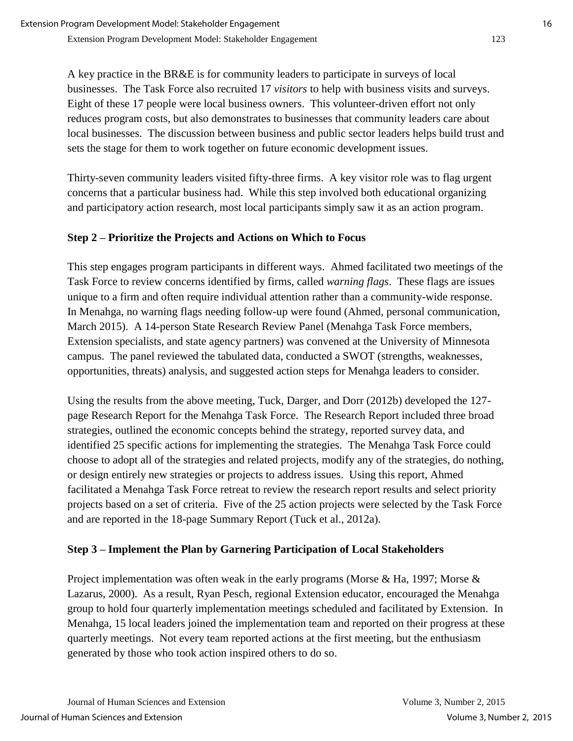A key practice in the BR&E is for community leaders to participate in surveys of local businesses. The Task Force also recruited 17 *visitors* to help with business visits and surveys. Eight of these 17 people were local business owners. This volunteer-driven effort not only reduces program costs, but also demonstrates to businesses that community leaders care about local businesses. The discussion between business and public sector leaders helps build trust and sets the stage for them to work together on future economic development issues.

Thirty-seven community leaders visited fifty-three firms. A key visitor role was to flag urgent concerns that a particular business had. While this step involved both educational organizing and participatory action research, most local participants simply saw it as an action program.

## **Step 2 – Prioritize the Projects and Actions on Which to Focus**

This step engages program participants in different ways. Ahmed facilitated two meetings of the Task Force to review concerns identified by firms, called *warning flags*. These flags are issues unique to a firm and often require individual attention rather than a community-wide response. In Menahga, no warning flags needing follow-up were found (Ahmed, personal communication, March 2015). A 14-person State Research Review Panel (Menahga Task Force members, Extension specialists, and state agency partners) was convened at the University of Minnesota campus. The panel reviewed the tabulated data, conducted a SWOT (strengths, weaknesses, opportunities, threats) analysis, and suggested action steps for Menahga leaders to consider.

Using the results from the above meeting, Tuck, Darger, and Dorr (2012b) developed the 127 page Research Report for the Menahga Task Force. The Research Report included three broad strategies, outlined the economic concepts behind the strategy, reported survey data, and identified 25 specific actions for implementing the strategies. The Menahga Task Force could choose to adopt all of the strategies and related projects, modify any of the strategies, do nothing, or design entirely new strategies or projects to address issues. Using this report, Ahmed facilitated a Menahga Task Force retreat to review the research report results and select priority projects based on a set of criteria. Five of the 25 action projects were selected by the Task Force and are reported in the 18-page Summary Report (Tuck et al., 2012a).

# **Step 3 – Implement the Plan by Garnering Participation of Local Stakeholders**

Project implementation was often weak in the early programs (Morse & Ha, 1997; Morse & Lazarus, 2000). As a result, Ryan Pesch, regional Extension educator, encouraged the Menahga group to hold four quarterly implementation meetings scheduled and facilitated by Extension. In Menahga, 15 local leaders joined the implementation team and reported on their progress at these quarterly meetings. Not every team reported actions at the first meeting, but the enthusiasm generated by those who took action inspired others to do so.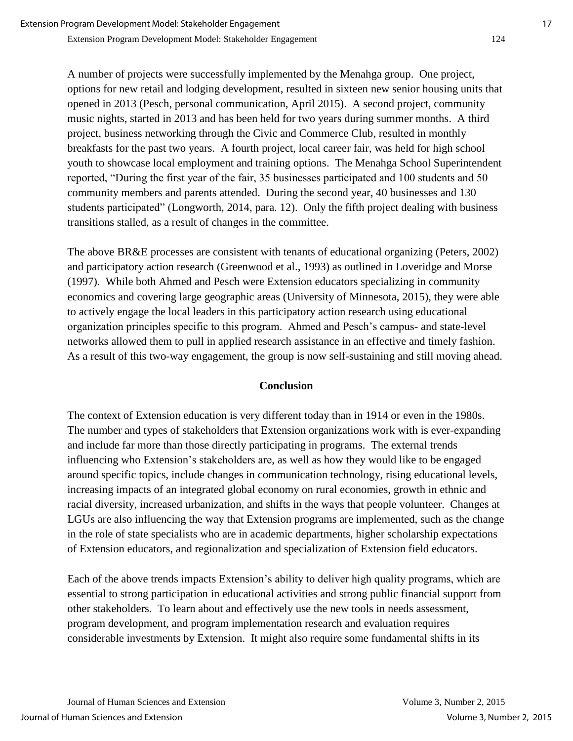Extension Program Development Model: Stakeholder Engagement 124

A number of projects were successfully implemented by the Menahga group. One project, options for new retail and lodging development, resulted in sixteen new senior housing units that opened in 2013 (Pesch, personal communication, April 2015). A second project, community music nights, started in 2013 and has been held for two years during summer months. A third project, business networking through the Civic and Commerce Club, resulted in monthly breakfasts for the past two years. A fourth project, local career fair, was held for high school youth to showcase local employment and training options. The Menahga School Superintendent reported, "During the first year of the fair, 35 businesses participated and 100 students and 50 community members and parents attended. During the second year, 40 businesses and 130 students participated" (Longworth, 2014, para. 12). Only the fifth project dealing with business transitions stalled, as a result of changes in the committee.

The above BR&E processes are consistent with tenants of educational organizing (Peters, 2002) and participatory action research (Greenwood et al., 1993) as outlined in Loveridge and Morse (1997). While both Ahmed and Pesch were Extension educators specializing in community economics and covering large geographic areas (University of Minnesota, 2015), they were able to actively engage the local leaders in this participatory action research using educational organization principles specific to this program. Ahmed and Pesch's campus- and state-level networks allowed them to pull in applied research assistance in an effective and timely fashion. As a result of this two-way engagement, the group is now self-sustaining and still moving ahead.

#### **Conclusion**

The context of Extension education is very different today than in 1914 or even in the 1980s. The number and types of stakeholders that Extension organizations work with is ever-expanding and include far more than those directly participating in programs. The external trends influencing who Extension's stakeholders are, as well as how they would like to be engaged around specific topics, include changes in communication technology, rising educational levels, increasing impacts of an integrated global economy on rural economies, growth in ethnic and racial diversity, increased urbanization, and shifts in the ways that people volunteer. Changes at LGUs are also influencing the way that Extension programs are implemented, such as the change in the role of state specialists who are in academic departments, higher scholarship expectations of Extension educators, and regionalization and specialization of Extension field educators.

Each of the above trends impacts Extension's ability to deliver high quality programs, which are essential to strong participation in educational activities and strong public financial support from other stakeholders. To learn about and effectively use the new tools in needs assessment, program development, and program implementation research and evaluation requires considerable investments by Extension. It might also require some fundamental shifts in its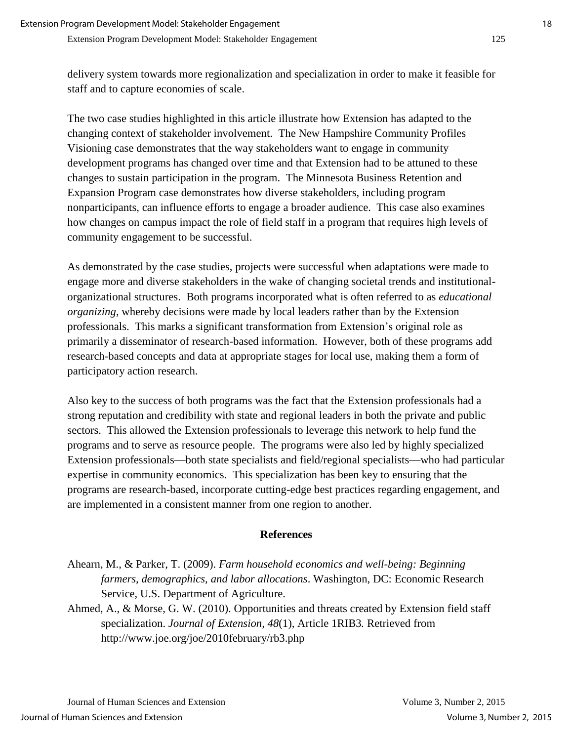delivery system towards more regionalization and specialization in order to make it feasible for staff and to capture economies of scale.

The two case studies highlighted in this article illustrate how Extension has adapted to the changing context of stakeholder involvement. The New Hampshire Community Profiles Visioning case demonstrates that the way stakeholders want to engage in community development programs has changed over time and that Extension had to be attuned to these changes to sustain participation in the program. The Minnesota Business Retention and Expansion Program case demonstrates how diverse stakeholders, including program nonparticipants, can influence efforts to engage a broader audience. This case also examines how changes on campus impact the role of field staff in a program that requires high levels of community engagement to be successful.

As demonstrated by the case studies, projects were successful when adaptations were made to engage more and diverse stakeholders in the wake of changing societal trends and institutionalorganizational structures. Both programs incorporated what is often referred to as *educational organizing*, whereby decisions were made by local leaders rather than by the Extension professionals. This marks a significant transformation from Extension's original role as primarily a disseminator of research-based information. However, both of these programs add research-based concepts and data at appropriate stages for local use, making them a form of participatory action research.

Also key to the success of both programs was the fact that the Extension professionals had a strong reputation and credibility with state and regional leaders in both the private and public sectors. This allowed the Extension professionals to leverage this network to help fund the programs and to serve as resource people. The programs were also led by highly specialized Extension professionals—both state specialists and field/regional specialists—who had particular expertise in community economics. This specialization has been key to ensuring that the programs are research-based, incorporate cutting-edge best practices regarding engagement, and are implemented in a consistent manner from one region to another.

#### **References**

- Ahearn, M., & Parker, T. (2009). *Farm household economics and well-being: Beginning farmers, demographics, and labor allocations*. Washington, DC: Economic Research Service, U.S. Department of Agriculture.
- Ahmed, A., & Morse, G. W. (2010). Opportunities and threats created by Extension field staff specialization. *Journal of Extension, 48*(1), Article 1RIB3*.* Retrieved from http://www.joe.org/joe/2010february/rb3.php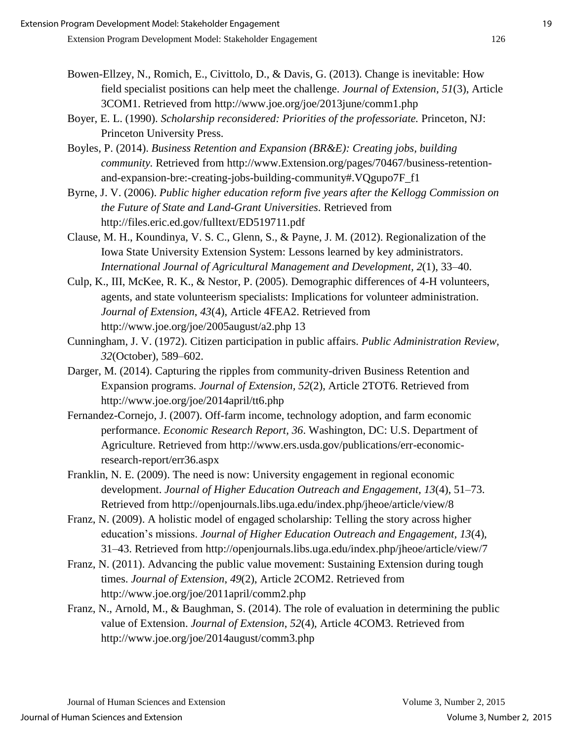- Bowen-Ellzey, N., Romich, E., Civittolo, D., & Davis, G. (2013). Change is inevitable: How field specialist positions can help meet the challenge. *Journal of Extension, 51*(3), Article 3COM1. Retrieved from http://www.joe.org/joe/2013june/comm1.php
- Boyer, E. L. (1990). *Scholarship reconsidered: Priorities of the professoriate.* Princeton, NJ: Princeton University Press.
- Boyles, P. (2014). *Business Retention and Expansion (BR&E): Creating jobs, building community.* Retrieved from http://www.Extension.org/pages/70467/business-retentionand-expansion-bre:-creating-jobs-building-community#.VQgupo7F\_f1
- Byrne, J. V. (2006). *Public higher education reform five years after the Kellogg Commission on the Future of State and Land-Grant Universities*. Retrieved from http://files.eric.ed.gov/fulltext/ED519711.pdf
- Clause, M. H., Koundinya, V. S. C., Glenn, S., & Payne, J. M. (2012). Regionalization of the Iowa State University Extension System: Lessons learned by key administrators. *International Journal of Agricultural Management and Development, 2*(1), 33–40.
- Culp, K., III, McKee, R. K., & Nestor, P. (2005). Demographic differences of 4-H volunteers, agents, and state volunteerism specialists: Implications for volunteer administration. *Journal of Extension*, *43*(4), Article 4FEA2. Retrieved from http://www.joe.org/joe/2005august/a2.php 13
- Cunningham, J. V. (1972). Citizen participation in public affairs. *Public Administration Review, 32*(October), 589–602.
- Darger, M. (2014). Capturing the ripples from community-driven Business Retention and Expansion programs. *Journal of Extension, 52*(2), Article 2TOT6. Retrieved from http://www.joe.org/joe/2014april/tt6.php
- Fernandez-Cornejo, J. (2007). Off-farm income, technology adoption, and farm economic performance. *Economic Research Report, 36*. Washington, DC: U.S. Department of Agriculture. Retrieved from http://www.ers.usda.gov/publications/err-economicresearch-report/err36.aspx
- Franklin, N. E. (2009). The need is now: University engagement in regional economic development. *Journal of Higher Education Outreach and Engagement, 13*(4), 51–73. Retrieved from http://openjournals.libs.uga.edu/index.php/jheoe/article/view/8
- Franz, N. (2009). A holistic model of engaged scholarship: Telling the story across higher education's missions. *Journal of Higher Education Outreach and Engagement, 13*(4), 31–43. Retrieved from http://openjournals.libs.uga.edu/index.php/jheoe/article/view/7
- Franz, N. (2011). Advancing the public value movement: Sustaining Extension during tough times. *Journal of Extension*, *49*(2), Article 2COM2. Retrieved from http://www.joe.org/joe/2011april/comm2.php
- Franz, N., Arnold, M., & Baughman, S. (2014). The role of evaluation in determining the public value of Extension. *Journal of Extension*, *52*(4), Article 4COM3. Retrieved from http://www.joe.org/joe/2014august/comm3.php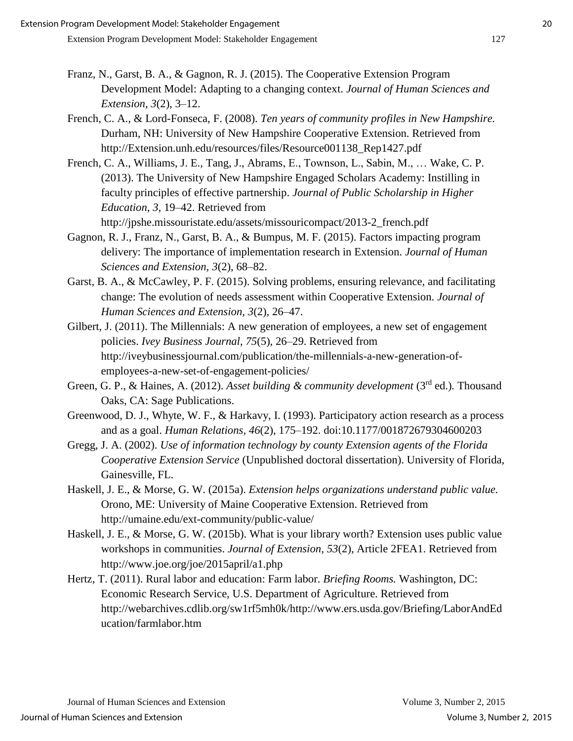- Franz, N., Garst, B. A., & Gagnon, R. J. (2015). The Cooperative Extension Program Development Model: Adapting to a changing context. *Journal of Human Sciences and Extension*, *3*(2), 3–12.
- French, C. A., & Lord-Fonseca, F. (2008). *Ten years of community profiles in New Hampshire.* Durham, NH: University of New Hampshire Cooperative Extension. Retrieved from http://Extension.unh.edu/resources/files/Resource001138\_Rep1427.pdf
- French, C. A., Williams, J. E., Tang, J., Abrams, E., Townson, L., Sabin, M., … Wake, C. P. (2013). The University of New Hampshire Engaged Scholars Academy: Instilling in faculty principles of effective partnership. *Journal of Public Scholarship in Higher Education, 3,* 19–42. Retrieved from http://jpshe.missouristate.edu/assets/missouricompact/2013-2\_french.pdf
- Gagnon, R. J., Franz, N., Garst, B. A., & Bumpus, M. F. (2015). Factors impacting program delivery: The importance of implementation research in Extension. *Journal of Human Sciences and Extension, 3*(2), 68–82.
- Garst, B. A., & McCawley, P. F. (2015). Solving problems, ensuring relevance, and facilitating change: The evolution of needs assessment within Cooperative Extension. *Journal of Human Sciences and Extension, 3*(2), 26–47.
- Gilbert, J. (2011). The Millennials: A new generation of employees, a new set of engagement policies. *Ivey Business Journal*, *75*(5), 26–29. Retrieved from http://iveybusinessjournal.com/publication/the-millennials-a-new-generation-ofemployees-a-new-set-of-engagement-policies/
- Green, G. P., & Haines, A. (2012). *Asset building & community development* (3<sup>rd</sup> ed.). Thousand Oaks, CA: Sage Publications.
- Greenwood, D. J., Whyte, W. F., & Harkavy, I. (1993). Participatory action research as a process and as a goal. *Human Relations, 46*(2), 175–192. doi:10.1177/001872679304600203
- Gregg, J. A. (2002). *Use of information technology by county Extension agents of the Florida Cooperative Extension Service* (Unpublished doctoral dissertation). University of Florida, Gainesville, FL.
- Haskell, J. E., & Morse, G. W. (2015a). *Extension helps organizations understand public value.*  Orono, ME: University of Maine Cooperative Extension. Retrieved from http://umaine.edu/ext-community/public-value/
- Haskell, J. E., & Morse, G. W. (2015b). What is your library worth? Extension uses public value workshops in communities. *Journal of Extension, 53*(2), Article 2FEA1. Retrieved from http://www.joe.org/joe/2015april/a1.php
- Hertz, T. (2011). Rural labor and education: Farm labor. *Briefing Rooms.* Washington, DC: Economic Research Service, U.S. Department of Agriculture. Retrieved from http://webarchives.cdlib.org/sw1rf5mh0k/http://www.ers.usda.gov/Briefing/LaborAndEd ucation/farmlabor.htm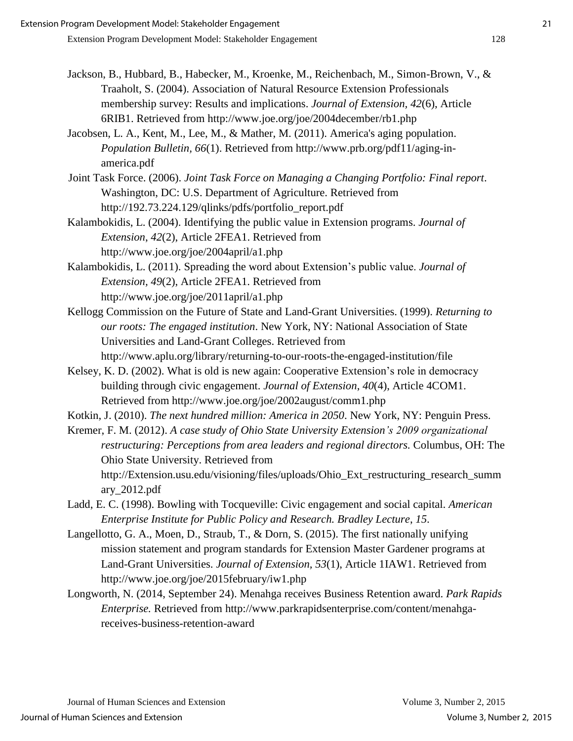- Jackson, B., Hubbard, B., Habecker, M., Kroenke, M., Reichenbach, M., Simon-Brown, V., & Traaholt, S. (2004). Association of Natural Resource Extension Professionals membership survey: Results and implications. *Journal of Extension, 42*(6), Article 6RIB1. Retrieved from http://www.joe.org/joe/2004december/rb1.php
- Jacobsen, L. A., Kent, M., Lee, M., & Mather, M. (2011). America's aging population. *Population Bulletin, 66*(1). Retrieved from http://www.prb.org/pdf11/aging-inamerica.pdf
- Joint Task Force. (2006). *Joint Task Force on Managing a Changing Portfolio: Final report*. Washington, DC: U.S. Department of Agriculture. Retrieved from http://192.73.224.129/qlinks/pdfs/portfolio\_report.pdf
- Kalambokidis, L. (2004). Identifying the public value in Extension programs. *Journal of Extension*, *42*(2), Article 2FEA1. Retrieved from http://www.joe.org/joe/2004april/a1.php
- Kalambokidis, L. (2011). Spreading the word about Extension's public value. *Journal of Extension, 49*(2), Article 2FEA1. Retrieved from http://www.joe.org/joe/2011april/a1.php
- Kellogg Commission on the Future of State and Land-Grant Universities. (1999). *Returning to our roots: The engaged institution*. New York, NY: National Association of State Universities and Land-Grant Colleges. Retrieved from

http://www.aplu.org/library/returning-to-our-roots-the-engaged-institution/file

- Kelsey, K. D. (2002). What is old is new again: Cooperative Extension's role in democracy building through civic engagement. *Journal of Extension*, *40*(4), Article 4COM1. Retrieved from http://www.joe.org/joe/2002august/comm1.php
- Kotkin, J. (2010). *The next hundred million: America in 2050*. New York, NY: Penguin Press.
- Kremer, F. M. (2012). *A case study of Ohio State University Extension's 2009 organizational restructuring: Perceptions from area leaders and regional directors.* Columbus, OH: The Ohio State University. Retrieved from http://Extension.usu.edu/visioning/files/uploads/Ohio\_Ext\_restructuring\_research\_summ ary\_2012.pdf
- Ladd, E. C. (1998). Bowling with Tocqueville: Civic engagement and social capital. *American Enterprise Institute for Public Policy and Research. Bradley Lecture*, *15*.
- Langellotto, G. A., Moen, D., Straub, T., & Dorn, S. (2015). The first nationally unifying mission statement and program standards for Extension Master Gardener programs at Land-Grant Universities. *Journal of Extension, 53*(1), Article 1IAW1. Retrieved from http://www.joe.org/joe/2015february/iw1.php
- Longworth, N. (2014, September 24). Menahga receives Business Retention award. *Park Rapids Enterprise.* Retrieved from http://www.parkrapidsenterprise.com/content/menahgareceives-business-retention-award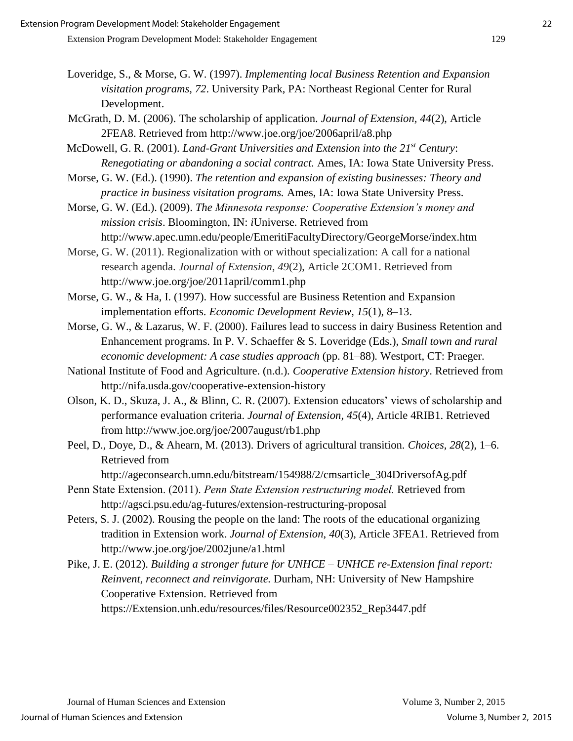- Loveridge, S., & Morse, G. W. (1997). *Implementing local Business Retention and Expansion visitation programs, 72*. University Park, PA: Northeast Regional Center for Rural Development.
- McGrath, D. M. (2006). The scholarship of application. *Journal of Extension, 44*(2), Article 2FEA8. Retrieved from http://www.joe.org/joe/2006april/a8.php

McDowell, G. R. (2001). *Land-Grant Universities and Extension into the 21st Century*: *Renegotiating or abandoning a social contract.* Ames, IA: Iowa State University Press.

Morse, G. W. (Ed.). (1990). *The retention and expansion of existing businesses: Theory and practice in business visitation programs.* Ames, IA: Iowa State University Press.

Morse, G. W. (Ed.). (2009). *The Minnesota response: Cooperative Extension's money and mission crisis*. Bloomington, IN: *i*Universe. Retrieved from http://www.apec.umn.edu/people/EmeritiFacultyDirectory/GeorgeMorse/index.htm

Morse, G. W. (2011). Regionalization with or without specialization: A call for a national research agenda. *Journal of Extension*, *49*(2), Article 2COM1. Retrieved from http://www.joe.org/joe/2011april/comm1.php

Morse, G. W., & Ha, I. (1997). How successful are Business Retention and Expansion implementation efforts. *Economic Development Review, 15*(1), 8–13.

Morse, G. W., & Lazarus, W. F. (2000). Failures lead to success in dairy Business Retention and Enhancement programs. In P. V. Schaeffer & S. Loveridge (Eds.), *Small town and rural economic development: A case studies approach* (pp. 81–88)*.* Westport, CT: Praeger.

- National Institute of Food and Agriculture. (n.d.). *Cooperative Extension history*. Retrieved from http://nifa.usda.gov/cooperative-extension-history
- Olson, K. D., Skuza, J. A., & Blinn, C. R. (2007). Extension educators' views of scholarship and performance evaluation criteria. *Journal of Extension, 45*(4), Article 4RIB1. Retrieved from http://www.joe.org/joe/2007august/rb1.php
- Peel, D., Doye, D., & Ahearn, M. (2013). Drivers of agricultural transition*. Choices, 28*(2), 1–6. Retrieved from

http://ageconsearch.umn.edu/bitstream/154988/2/cmsarticle\_304DriversofAg.pdf

- Penn State Extension. (2011). *Penn State Extension restructuring model.* Retrieved from http://agsci.psu.edu/ag-futures/extension-restructuring-proposal
- Peters, S. J. (2002). Rousing the people on the land: The roots of the educational organizing tradition in Extension work. *Journal of Extension*, *40*(3), Article 3FEA1. Retrieved from http://www.joe.org/joe/2002june/a1.html

Pike, J. E. (2012). *Building a stronger future for UNHCE – UNHCE re-Extension final report: Reinvent, reconnect and reinvigorate.* Durham, NH: University of New Hampshire Cooperative Extension. Retrieved from https://Extension.unh.edu/resources/files/Resource002352\_Rep3447.pdf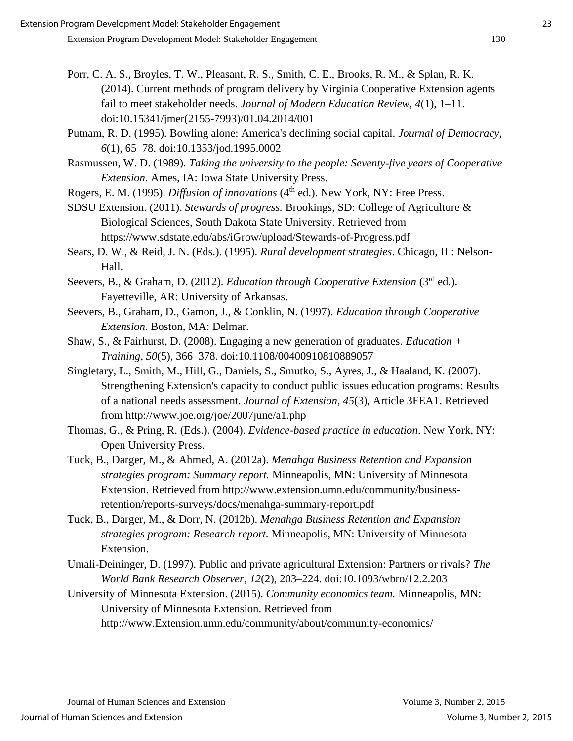- Porr, C. A. S., Broyles, T. W., Pleasant, R. S., Smith, C. E., Brooks, R. M., & Splan, R. K. (2014). Current methods of program delivery by Virginia Cooperative Extension agents fail to meet stakeholder needs. *Journal of Modern Education Review, 4*(1), 1–11. doi:10.15341/jmer(2155-7993)/01.04.2014/001
- Putnam, R. D. (1995). Bowling alone: America's declining social capital. *Journal of Democracy*, *6*(1), 65–78. doi:10.1353/jod.1995.0002
- Rasmussen, W. D. (1989). *Taking the university to the people: Seventy-five years of Cooperative Extension.* Ames, IA: Iowa State University Press.
- Rogers, E. M. (1995). *Diffusion of innovations* (4<sup>th</sup> ed.). New York, NY: Free Press.

SDSU Extension. (2011). *Stewards of progress.* Brookings, SD: College of Agriculture & Biological Sciences, South Dakota State University. Retrieved from https://www.sdstate.edu/abs/iGrow/upload/Stewards-of-Progress.pdf

- Sears, D. W., & Reid, J. N. (Eds.). (1995). *Rural development strategies*. Chicago, IL: Nelson-Hall.
- Seevers, B., & Graham, D. (2012). *Education through Cooperative Extension* (3<sup>rd</sup> ed.). Fayetteville, AR: University of Arkansas.
- Seevers, B., Graham, D., Gamon, J., & Conklin, N. (1997). *Education through Cooperative Extension*. Boston, MA: Delmar.
- Shaw, S., & Fairhurst, D. (2008). Engaging a new generation of graduates. *Education + Training*, *50*(5), 366–378. doi:10.1108/00400910810889057
- Singletary, L., Smith, M., Hill, G., Daniels, S., Smutko, S., Ayres, J., & Haaland, K. (2007). Strengthening Extension's capacity to conduct public issues education programs: Results of a national needs assessment. *Journal of Extension*, *45*(3), Article 3FEA1. Retrieved from http://www.joe.org/joe/2007june/a1.php
- Thomas, G., & Pring, R. (Eds.). (2004). *Evidence-based practice in education*. New York, NY: Open University Press.
- Tuck, B., Darger, M., & Ahmed, A. (2012a). *Menahga Business Retention and Expansion strategies program: Summary report.* Minneapolis, MN: University of Minnesota Extension. Retrieved from http://www.extension.umn.edu/community/businessretention/reports-surveys/docs/menahga-summary-report.pdf
- Tuck, B., Darger, M., & Dorr, N. (2012b). *Menahga Business Retention and Expansion strategies program: Research report.* Minneapolis, MN: University of Minnesota Extension.
- Umali-Deininger, D. (1997). Public and private agricultural Extension: Partners or rivals? *The World Bank Research Observer*, *12*(2), 203–224. doi:10.1093/wbro/12.2.203
- University of Minnesota Extension. (2015). *Community economics team.* Minneapolis, MN: University of Minnesota Extension. Retrieved from http://www.Extension.umn.edu/community/about/community-economics/